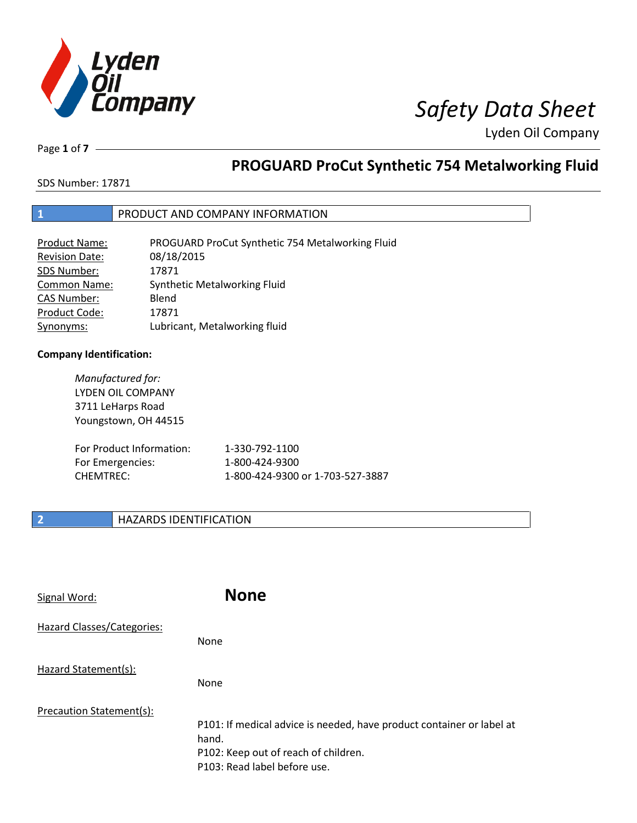

Page **1** of **7**

# **PROGUARD ProCut Synthetic 754 Metalworking Fluid**

SDS Number: 17871

### **1** PRODUCT AND COMPANY INFORMATION

| <b>Product Name:</b>  | PROGUARD ProCut Synthetic 754 Metalworking Fluid |
|-----------------------|--------------------------------------------------|
| <b>Revision Date:</b> | 08/18/2015                                       |
| SDS Number:           | 17871                                            |
| <b>Common Name:</b>   | Synthetic Metalworking Fluid                     |
| <b>CAS Number:</b>    | Blend                                            |
| Product Code:         | 17871                                            |
| Synonyms:             | Lubricant, Metalworking fluid                    |

### **Company Identification:**

*Manufactured for:* LYDEN OIL COMPANY 3711 LeHarps Road Youngstown, OH 44515 For Product Information: 1-330-792-1100 For Emergencies: 1-800-424-9300 CHEMTREC: 1-800-424-9300 or 1-703-527-3887

### **2 HAZARDS IDENTIFICATION**

| Signal Word:               | <b>None</b>                                                                                                                                            |
|----------------------------|--------------------------------------------------------------------------------------------------------------------------------------------------------|
| Hazard Classes/Categories: | None                                                                                                                                                   |
| Hazard Statement(s):       | None                                                                                                                                                   |
| Precaution Statement(s):   | P101: If medical advice is needed, have product container or label at<br>hand.<br>P102: Keep out of reach of children.<br>P103: Read label before use. |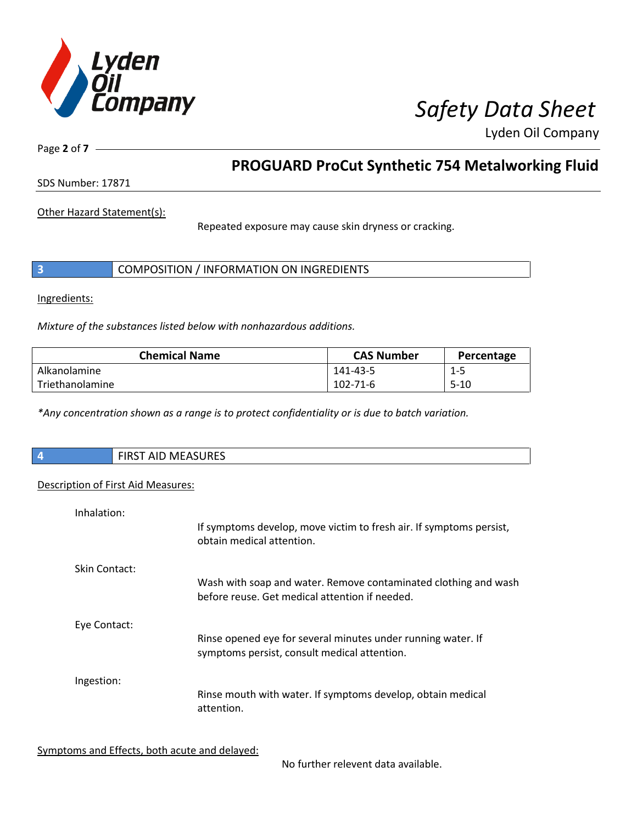

Page **2** of **7**

## **PROGUARD ProCut Synthetic 754 Metalworking Fluid**

SDS Number: 17871

Other Hazard Statement(s):

Repeated exposure may cause skin dryness or cracking.

|  | COMPOSITION / INFORMATION ON INGREDIENTS |  |
|--|------------------------------------------|--|
|--|------------------------------------------|--|

Ingredients:

*Mixture of the substances listed below with nonhazardous additions.*

| <b>Chemical Name</b> | <b>CAS Number</b> | Percentage |
|----------------------|-------------------|------------|
| Alkanolamine         | 141-43-5          | 1-5        |
| Triethanolamine      | 102-71-6          | $5 - 10$   |

*\*Any concentration shown as a range is to protect confidentiality or is due to batch variation.*

| <b>FIRST AID MEASURES</b>          |
|------------------------------------|
| Description of First Aid Measures: |

| Inhalation:   |                                                                                                                   |
|---------------|-------------------------------------------------------------------------------------------------------------------|
|               | If symptoms develop, move victim to fresh air. If symptoms persist,<br>obtain medical attention.                  |
| Skin Contact: |                                                                                                                   |
|               | Wash with soap and water. Remove contaminated clothing and wash<br>before reuse. Get medical attention if needed. |
| Eye Contact:  |                                                                                                                   |
|               | Rinse opened eye for several minutes under running water. If<br>symptoms persist, consult medical attention.      |
| Ingestion:    |                                                                                                                   |
|               | Rinse mouth with water. If symptoms develop, obtain medical<br>attention.                                         |
|               |                                                                                                                   |

Symptoms and Effects, both acute and delayed:

No further relevent data available.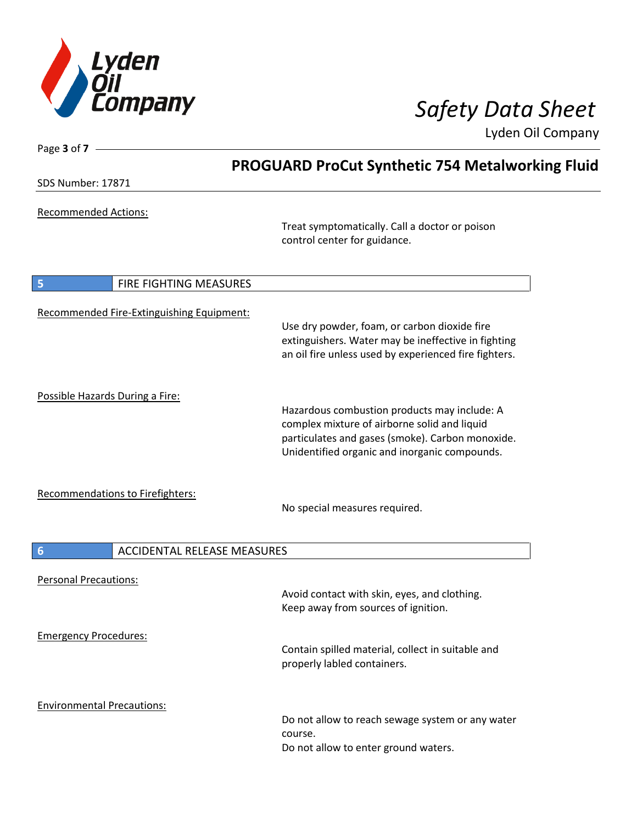

Page **3** of **7**

Lyden Oil Company

|                                                       | <b>PROGUARD ProCut Synthetic 754 Metalworking Fluid</b>                                                                                                                                           |
|-------------------------------------------------------|---------------------------------------------------------------------------------------------------------------------------------------------------------------------------------------------------|
| <b>SDS Number: 17871</b>                              |                                                                                                                                                                                                   |
| <b>Recommended Actions:</b>                           | Treat symptomatically. Call a doctor or poison<br>control center for guidance.                                                                                                                    |
| FIRE FIGHTING MEASURES<br>5                           |                                                                                                                                                                                                   |
| Recommended Fire-Extinguishing Equipment:             | Use dry powder, foam, or carbon dioxide fire<br>extinguishers. Water may be ineffective in fighting<br>an oil fire unless used by experienced fire fighters.                                      |
| Possible Hazards During a Fire:                       | Hazardous combustion products may include: A<br>complex mixture of airborne solid and liquid<br>particulates and gases (smoke). Carbon monoxide.<br>Unidentified organic and inorganic compounds. |
| Recommendations to Firefighters:                      | No special measures required.                                                                                                                                                                     |
| <b>ACCIDENTAL RELEASE MEASURES</b><br>$6\phantom{1}6$ |                                                                                                                                                                                                   |
| <b>Personal Precautions:</b>                          | Avoid contact with skin, eyes, and clothing.<br>Keep away from sources of ignition.                                                                                                               |
| <b>Emergency Procedures:</b>                          | Contain spilled material, collect in suitable and<br>properly labled containers.                                                                                                                  |
| <b>Environmental Precautions:</b>                     | Do not allow to reach sewage system or any water<br>course.<br>Do not allow to enter ground waters.                                                                                               |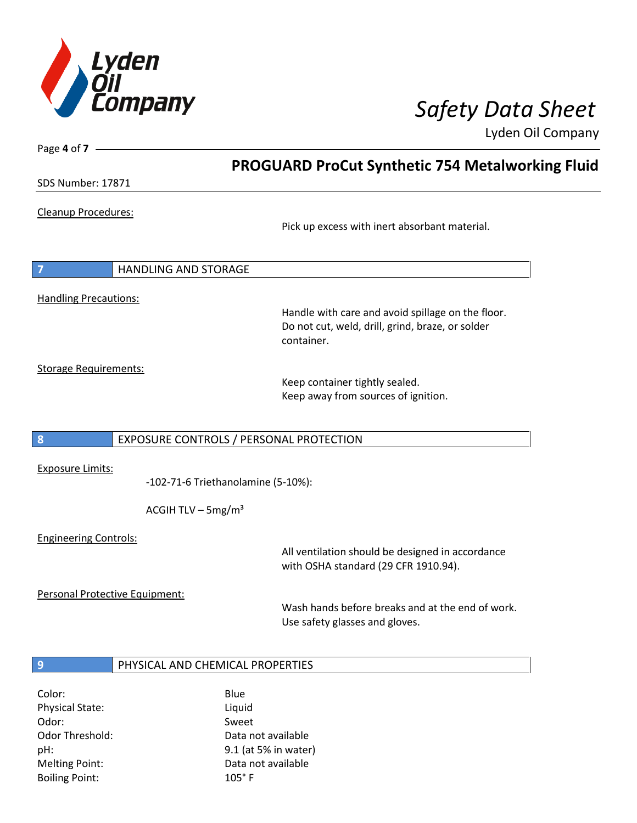

SDS Number: 17871

Page **4** of **7**

### Cleanup Procedures:

Pick up excess with inert absorbant material.

**PROGUARD ProCut Synthetic 754 Metalworking Fluid**

**7** HANDLING AND STORAGE

Handling Precautions:

Handle with care and avoid spillage on the floor. Do not cut, weld, drill, grind, braze, or solder container.

Storage Requirements:

Keep container tightly sealed. Keep away from sources of ignition.

### **8** EXPOSURE CONTROLS / PERSONAL PROTECTION

Exposure Limits:

-102-71-6 Triethanolamine (5-10%):

ACGIH TLV –  $5mg/m<sup>3</sup>$ 

Engineering Controls:

All ventilation should be designed in accordance with OSHA standard (29 CFR 1910.94).

Personal Protective Equipment:

Wash hands before breaks and at the end of work. Use safety glasses and gloves.

### **9** PHYSICAL AND CHEMICAL PROPERTIES

| Blue                 |
|----------------------|
| Liquid               |
| Sweet                |
| Data not available   |
| 9.1 (at 5% in water) |
| Data not available   |
| $105^\circ$ F        |
|                      |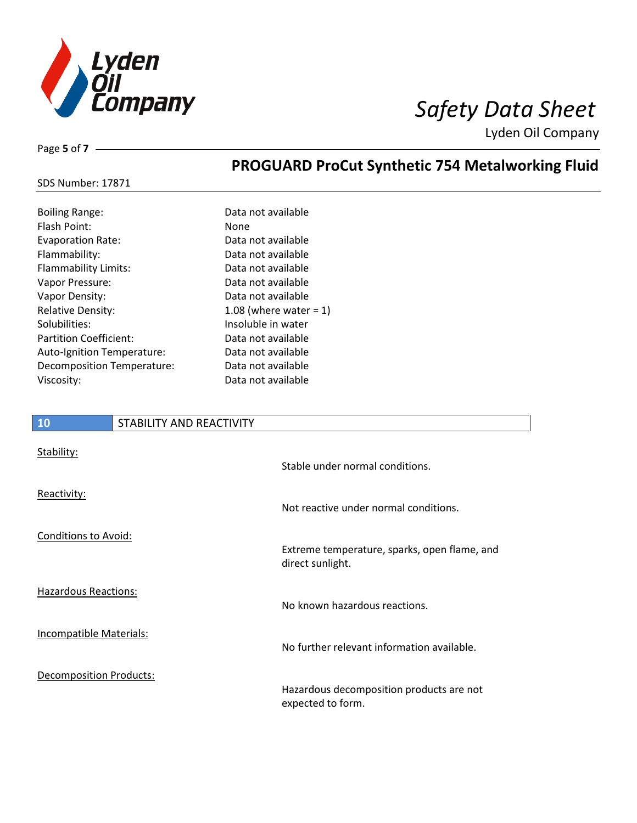

Page **5** of **7**

## **PROGUARD ProCut Synthetic 754 Metalworking Fluid**

### SDS Number: 17871

| <b>Boiling Range:</b>      | Data not available        |
|----------------------------|---------------------------|
| <b>Flash Point:</b>        | <b>None</b>               |
| <b>Evaporation Rate:</b>   | Data not available        |
| Flammability:              | Data not available        |
| Flammability Limits:       | Data not available        |
| Vapor Pressure:            | Data not available        |
| Vapor Density:             | Data not available        |
| <b>Relative Density:</b>   | 1.08 (where water = $1$ ) |
| Solubilities:              | Insoluble in water        |
| Partition Coefficient:     | Data not available        |
| Auto-Ignition Temperature: | Data not available        |
| Decomposition Temperature: | Data not available        |
| Viscosity:                 | Data not available        |
|                            |                           |

# **10** STABILITY AND REACTIVITY Stability: Stable under normal conditions. Reactivity: Not reactive under normal conditions. Conditions to Avoid: Extreme temperature, sparks, open flame, and direct sunlight. Hazardous Reactions: No known hazardous reactions. Incompatible Materials: No further relevant information available. Decomposition Products: Hazardous decomposition products are not expected to form.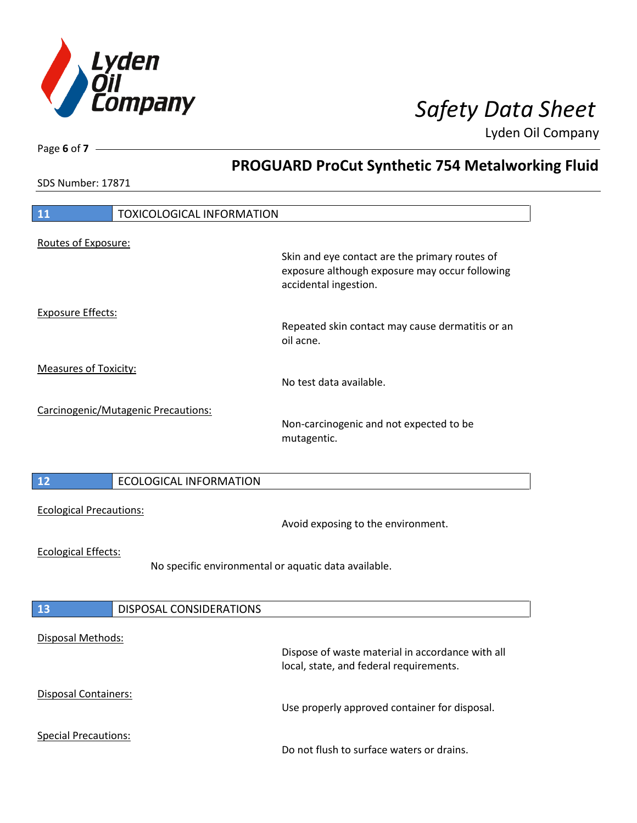

**PROGUARD ProCut Synthetic 754 Metalworking Fluid**

Lyden Oil Company

SDS Number: 17871

Page **6** of **7**

| 11                                                         | <b>TOXICOLOGICAL INFORMATION</b>                     |                                                                                                                           |
|------------------------------------------------------------|------------------------------------------------------|---------------------------------------------------------------------------------------------------------------------------|
| Routes of Exposure:                                        |                                                      |                                                                                                                           |
|                                                            |                                                      | Skin and eye contact are the primary routes of<br>exposure although exposure may occur following<br>accidental ingestion. |
| <b>Exposure Effects:</b>                                   |                                                      | Repeated skin contact may cause dermatitis or an<br>oil acne.                                                             |
| <b>Measures of Toxicity:</b>                               |                                                      | No test data available.                                                                                                   |
|                                                            | Carcinogenic/Mutagenic Precautions:                  | Non-carcinogenic and not expected to be<br>mutagentic.                                                                    |
| 12                                                         | <b>ECOLOGICAL INFORMATION</b>                        |                                                                                                                           |
|                                                            |                                                      |                                                                                                                           |
| <b>Ecological Precautions:</b>                             |                                                      | Avoid exposing to the environment.                                                                                        |
| <b>Ecological Effects:</b>                                 | No specific environmental or aquatic data available. |                                                                                                                           |
|                                                            |                                                      |                                                                                                                           |
| 13<br>Disposal Methods:                                    | DISPOSAL CONSIDERATIONS                              | Dispose of waste material in accordance with all                                                                          |
|                                                            |                                                      | local, state, and federal requirements.                                                                                   |
| <b>Disposal Containers:</b><br><b>Special Precautions:</b> |                                                      | Use properly approved container for disposal.                                                                             |